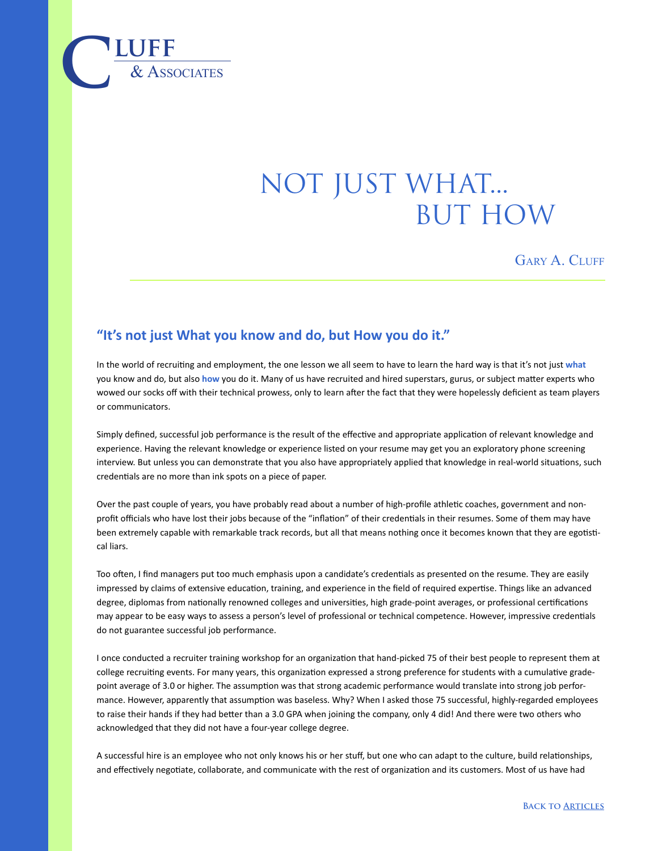

## not just what... **BUT HOW**

GARY A. CLUFF

## **"It's not just What you know and do, but How you do it."**

In the world of recruiting and employment, the one lesson we all seem to have to learn the hard way is that it's not just **what** you know and do, but also **how** you do it. Many of us have recruited and hired superstars, gurus, or subject matter experts who wowed our socks off with their technical prowess, only to learn after the fact that they were hopelessly deficient as team players or communicators.

Simply defined, successful job performance is the result of the effective and appropriate application of relevant knowledge and experience. Having the relevant knowledge or experience listed on your resume may get you an exploratory phone screening interview. But unless you can demonstrate that you also have appropriately applied that knowledge in real-world situations, such credentials are no more than ink spots on a piece of paper.

Over the past couple of years, you have probably read about a number of high-profile athletic coaches, government and nonprofit officials who have lost their jobs because of the "inflation" of their credentials in their resumes. Some of them may have been extremely capable with remarkable track records, but all that means nothing once it becomes known that they are egotistical liars.

Too often, I find managers put too much emphasis upon a candidate's credentials as presented on the resume. They are easily impressed by claims of extensive education, training, and experience in the field of required expertise. Things like an advanced degree, diplomas from nationally renowned colleges and universities, high grade-point averages, or professional certifications may appear to be easy ways to assess a person's level of professional or technical competence. However, impressive credentials do not guarantee successful job performance.

I once conducted a recruiter training workshop for an organization that hand-picked 75 of their best people to represent them at college recruiting events. For many years, this organization expressed a strong preference for students with a cumulative gradepoint average of 3.0 or higher. The assumption was that strong academic performance would translate into strong job performance. However, apparently that assumption was baseless. Why? When I asked those 75 successful, highly-regarded employees to raise their hands if they had better than a 3.0 GPA when joining the company, only 4 did! And there were two others who acknowledged that they did not have a four-year college degree.

A successful hire is an employee who not only knows his or her stuff, but one who can adapt to the culture, build relationships, and effectively negotiate, collaborate, and communicate with the rest of organization and its customers. Most of us have had